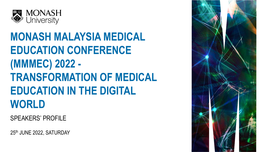

#### **MONASH MALAYSIA MEDICAL EDUCATION CONFERENCE (MMMEC) 2022 - TRANSFORMATION OF MEDICAL EDUCATION IN THE DIGITAL WORLD**

SPEAKERS' PROFILE

25th JUNE 2022, SATURDAY

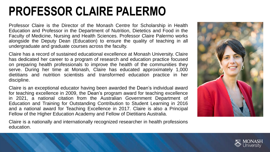### **PROFESSOR CLAIRE PALERMO**

Professor Claire is the Director of the Monash Centre for Scholarship in Health Education and Professor in the Department of Nutrition, Dietetics and Food in the Faculty of Medicine, Nursing and Health Sciences. Professor Claire Palermo works alongside the Deputy Dean (Education) to ensure the quality of teaching in all undergraduate and graduate courses across the faculty.

Claire has a record of sustained educational excellence at Monash University. Claire has dedicated her career to a program of research and education practice focused on preparing health professionals to improve the health of the communities they serve. During her time at Monash, Claire has educated approximately 1,000 dietitians and nutrition scientists and transformed education practice in her discipline.

Claire is an exceptional educator having been awarded the Dean's individual award for teaching excellence in 2009, the Dean's program award for teaching excellence in 2021, a national citation from the Australian Government Department of Education and Training for Outstanding Contribution to Student Learning in 2016 and a national award for Teaching Excellence in 2017. Claire is also a Principal Fellow of the Higher Education Academy and Fellow of Dietitians Australia.

Claire is a nationally and internationally recognized researcher in health professions education.



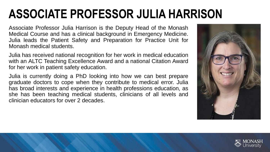# **ASSOCIATE PROFESSOR JULIA HARRISON**

Associate Professor Julia Harrison is the Deputy Head of the Monash Medical Course and has a clinical background in Emergency Medicine. Julia leads the Patient Safety and Preparation for Practice Unit for Monash medical students.

Julia has received national recognition for her work in medical education with an ALTC Teaching Excellence Award and a national Citation Award for her work in patient safety education.

Julia is currently doing a PhD looking into how we can best prepare graduate doctors to cope when they contribute to medical error. Julia has broad interests and experience in health professions education, as she has been teaching medical students, clinicians of all levels and clinician educators for over 2 decades.



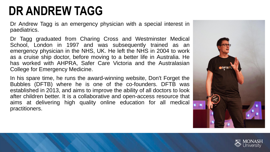## **DR ANDREW TAGG**

Dr Andrew Tagg is an emergency physician with a special interest in paediatrics.

Dr Tagg graduated from Charing Cross and Westminster Medical School, London in 1997 and was subsequently trained as an emergency physician in the NHS, UK. He left the NHS in 2004 to work as a cruise ship doctor, before moving to a better life in Australia. He has worked with AHPRA, Safer Care Victoria and the Australasian College for Emergency Medicine.

In his spare time, he runs the award-winning website, Don't Forget the Bubbles (DFTB) where he is one of the co-founders. DFTB was established in 2013, and aims to improve the ability of all doctors to look after children better. It is a collaborative and open-access resource that aims at delivering high quality online education for all medical practitioners.



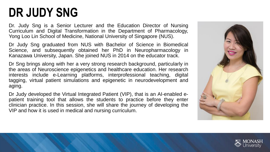### **DR JUDY SNG**

Dr. Judy Sng is a Senior Lecturer and the Education Director of Nursing Curriculum and Digital Transformation in the Department of Pharmacology, Yong Loo Lin School of Medicine, National University of Singapore (NUS).

Dr Judy Sng graduated from NUS with Bachelor of Science in Biomedical Science, and subsequently obtained her PhD in Neuropharmacology in Kanazawa University, Japan. She joined NUS in 2014 on the educator track.

Dr Sng brings along with her a very strong research background, particularly in the areas of Neuroscience epigenetics and healthcare education. Her research interests include e-Learning platforms, interprofessional teaching, digital tagging, virtual patient simulations and epigenetic in neurodevelopment and aging.

Dr Judy developed the Virtual Integrated Patient (VIP), that is an AI-enabled epatient training tool that allows the students to practice before they enter clinician practice. In this session, she will share the journey of developing the VIP and how it is used in medical and nursing curriculum.



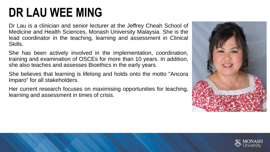### **DR LAU WEE MING**

Dr Lau is a clinician and senior lecturer at the Jeffrey Cheah School of Medicine and Health Sciences, Monash University Malaysia. She is the lead coordinator in the teaching, learning and assessment in Clinical Skills.

She has been actively involved in the implementation, coordination, training and examination of OSCEs for more than 10 years. In addition, she also teaches and assesses Bioethics in the early years.

She believes that learning is lifelong and holds onto the motto "Ancora Imparo" for all stakeholders.

Her current research focuses on maximising opportunities for teaching, learning and assessment in times of crisis.